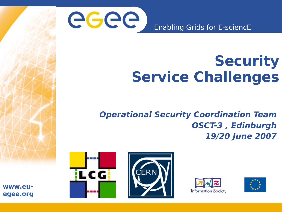

## **Security Service Challenges**

**Operational Security Coordination Team OSCT-3 , Edinburgh 19/20 June 2007**







**www.euegee.org**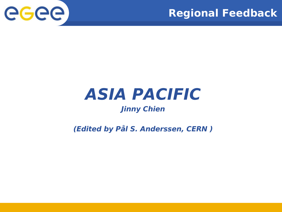



## **ASIA PACIFIC**

### **Jinny Chien**

### **(Edited by Pål S. Anderssen, CERN )**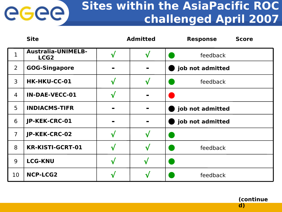### **Sites within the AsiaPacific ROC challenged April 2007**

|                | <b>Site</b>                                   |           | <b>Admitted</b> | <b>Response</b><br><b>Score</b> |
|----------------|-----------------------------------------------|-----------|-----------------|---------------------------------|
| 1              | <b>Australia-UNIMELB-</b><br>LCG <sub>2</sub> | $\sqrt{}$ | $\sqrt{}$       | feedback                        |
| $\overline{2}$ | <b>GOG-Singapore</b>                          |           |                 | job not admitted                |
| $\overline{3}$ | <b>HK-HKU-CC-01</b>                           | $\sqrt{}$ | $\sqrt{}$       | feedback                        |
| $\overline{4}$ | <b>IN-DAE-VECC-01</b>                         | $\sqrt{}$ | $\blacksquare$  |                                 |
| 5              | <b>INDIACMS-TIFR</b>                          |           | $\blacksquare$  | job not admitted                |
| 6              | JP-KEK-CRC-01                                 |           |                 | job not admitted                |
| $\overline{7}$ | JP-KEK-CRC-02                                 |           | $\sqrt{}$       |                                 |
| 8              | <b>KR-KISTI-GCRT-01</b>                       | $\sqrt{}$ | $\sqrt{}$       | feedback                        |
| 9              | <b>LCG-KNU</b>                                | $\sqrt{}$ | $\sqrt{ }$      |                                 |
| 10             | <b>NCP-LCG2</b>                               | ึ่ง       | $\checkmark$    | feedback                        |

eeee

**(continue d)**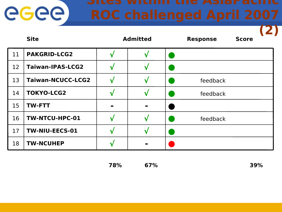|    | <b>Site</b>              | <b>Admitted</b> |                |  | <b>Response</b> | <b>Score</b> |  |
|----|--------------------------|-----------------|----------------|--|-----------------|--------------|--|
| 11 | <b>PAKGRID-LCG2</b>      | ٦ì              | ิป             |  |                 |              |  |
| 12 | <b>Taiwan-IPAS-LCG2</b>  | 1.              |                |  |                 |              |  |
| 13 | <b>Taiwan-NCUCC-LCG2</b> | $\mathbf{v}$    | V              |  | feedback        |              |  |
| 14 | <b>TOKYO-LCG2</b>        | N               | v              |  | feedback        |              |  |
| 15 | <b>TW-FTT</b>            |                 | $\blacksquare$ |  |                 |              |  |
| 16 | TW-NTCU-HPC-01           | N               | V              |  | feedback        |              |  |
| 17 | <b>TW-NIU-EECS-01</b>    | ٦ù              | V              |  |                 |              |  |
| 18 | <b>TW-NCUHEP</b>         |                 |                |  |                 |              |  |

**78% 67% 39%**

eeee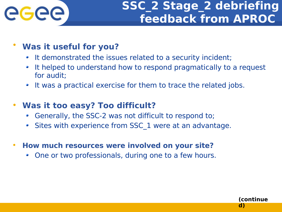

### **SSC\_2 Stage\_2 debriefing feedback from APROC**

**(continue**

**d)**

### • **Was it useful for you?**

- It demonstrated the issues related to a security incident;
- It helped to understand how to respond pragmatically to a request for audit;
- It was a practical exercise for them to trace the related jobs.

### • **Was it too easy? Too difficult?**

- Generally, the SSC-2 was not difficult to respond to;
- Sites with experience from SSC\_1 were at an advantage.
- **How much resources were involved on your site?**
	- One or two professionals, during one to a few hours. 0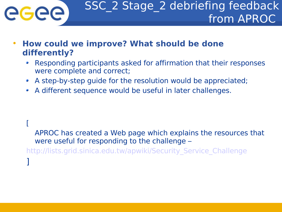

- **How could we improve? What should be done differently?**
	- Responding participants asked for affirmation that their responses were complete and correct;
	- A step-by-step guide for the resolution would be appreciated;
	- A different sequence would be useful in later challenges.

[

APROC has created a Web page which explains the resources that were useful for responding to the challenge –

[http://lists.grid.sinica.edu.tw/apwiki/Security\\_Service\\_Challenge](http://lists.grid.sinica.edu.tw/apwiki/Security_Service_Challenge)

]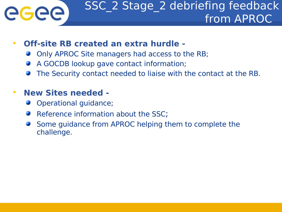# eeee

### • **Off-site RB created an extra hurdle -**

- Only APROC Site managers had access to the RB;
- A GOCDB lookup gave contact information;
- The Security contact needed to liaise with the contact at the RB.

### • **New Sites needed -**

- Operational guidance;
- Reference information about the SSC:
- Some guidance from APROC helping them to complete the challenge.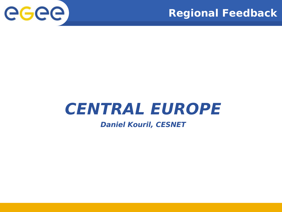



## **CENTRAL EUROPE**

#### **Daniel Kouril, CESNET**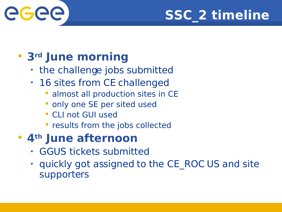



### • **3rd June morning**

- the challenge jobs submitted
- 16 sites from CE challenged
	- **almost all production sites in CE**
	- only one SE per sited used
	- CLI not GUI used
	- **Pedicity from the jobs collected**

### • **4th June afternoon**

- GGUS tickets submitted
- quickly got assigned to the CE\_ROC US and site supporters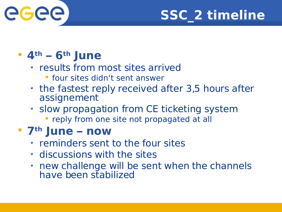



### • **4th – 6th June**

- results from most sites arrived
	- **Figure 1 States didn't sent answer**
- the fastest reply received after 3,5 hours after assignement
- slow propagation from CE ticketing system
	- **Percy from one site not propagated at all**

### • **7th June – now**

- reminders sent to the four sites
- discussions with the sites
- new challenge will be sent when the channels have been stabilized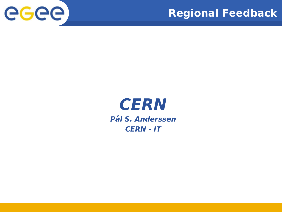



### **CERN Pål S. Anderssen CERN - IT**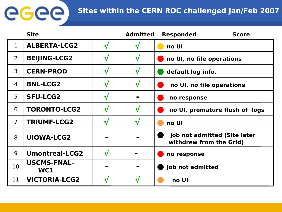### **Sites within the CERN ROC challenged Jan/Feb 2007**

|                | <b>Site</b>               | <b>Admitted</b> | <b>Responded</b><br><b>Score</b>                        |
|----------------|---------------------------|-----------------|---------------------------------------------------------|
| 1              | <b>ALBERTA-LCG2</b>       | $\mathbf v$     | no UI                                                   |
| $\overline{2}$ | <b>BEIJING-LCG2</b>       | $\checkmark$    | no UI, no file operations                               |
| 3              | <b>CERN-PROD</b>          | $\sqrt{}$       | default log info.                                       |
| 4              | <b>BNL-LCG2</b>           | $\sqrt{}$       | no UI, no file operations                               |
| 5              | <b>SFU-LCG2</b>           | $\blacksquare$  | no response                                             |
| 6              | <b>TORONTO-LCG2</b>       | $\sqrt{}$       | no UI, premature flush of logs                          |
| 7              | <b>TRIUMF-LCG2</b>        | $\checkmark$    | no UI                                                   |
| 8              | <b>UIOWA-LCG2</b>         |                 | job not admitted (Site later<br>withdrew from the Grid) |
| 9              | <b>Umontreal-LCG2</b>     |                 | no response                                             |
| 10             | <b>USCMS-FNAL-</b><br>WC1 | $\blacksquare$  | job not admitted                                        |
| 11             | <b>VICTORIA-LCG2</b>      | ่ง              | no UI                                                   |

**GGGG**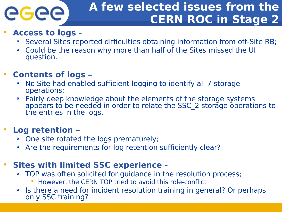

### **A few selected issues from the CERN ROC in Stage 2**

### • **Access to logs -**

- Several Sites reported difficulties obtaining information from off-Site RB;
- Could be the reason why more than half of the Sites missed the UI 0 question.

### • **Contents of logs –**

- No Site had enabled sufficient logging to identify all 7 storage operations;
- Fairly deep knowledge about the elements of the storage systems  $\bullet$ appears to be needed in order to relate the SSC\_2 storage operations to the entries in the logs.

### • **Log retention –**

- One site rotated the logs prematurely;
- Are the requirements for log retention sufficiently clear? 0

### • **Sites with limited SSC experience -**

- TOP was often solicited for guidance in the resolution process;  $\bullet$ 
	- However, the CERN TOP tried to avoid this role-conflict
- Is there a need for incident resolution training in general? Or perhaps  $\bullet$ only SSC training?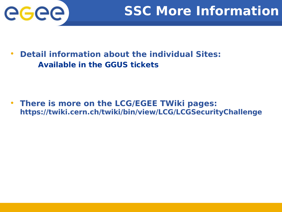

• **Detail information about the individual Sites: Available in the GGUS tickets**

• **There is more on the LCG/EGEE TWiki pages: https://twiki.cern.ch/twiki/bin/view/LCG/LCGSecurityChallenge**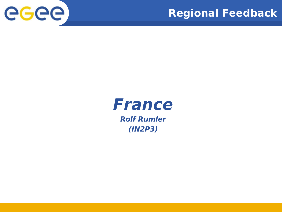



### **France Rolf Rumler (IN2P3)**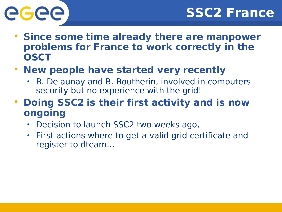# GGGG

- **Since some time already there are manpower problems for France to work correctly in the OSCT**
- **New people have started very recently**
	- B. Delaunay and B. Boutherin, involved in computers security but no experience with the grid!
- **Doing SSC2 is their first activity and is now ongoing**
	- Decision to launch SSC2 two weeks ago,
	- First actions where to get a valid grid certificate and register to dteam…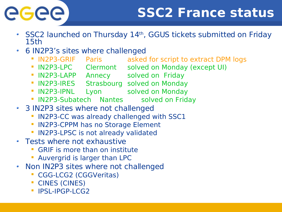# eeee

### **SSC2 France status**

- SSC2 launched on Thursday 14th, GGUS tickets submitted on Friday  $\bullet$ 15th
- 6 IN2P3's sites where challenged  $\bullet$ 
	- **IN2P3-GRIF** Paris asked for script to extract DPM logs
	- IN2P3-LPC Clermont solved on Monday (except UI)
	- **IN2P3-LAPP** Annecy solved on Friday
	- **IN2P3-IRES** Strasbourg solved on Monday
	- **IN2P3-IPNL Lyon Solved on Monday**
	- **IN2P3-Subatech Nantes solved on Friday**
- 3 IN2P3 sites where not challenged
	- **IN2P3-CC was already challenged with SSC1**
	- IN2P3-CPPM has no Storage Element
	- **IN2P3-LPSC is not already validated**
- Tests where not exhaustive
	- GRIF is more than on institute
	- **Auvergrid is larger than LPC**
- Non IN2P3 sites where not challenged  $\bullet$ 
	- CGG-LCG2 (CGGVeritas)
	- CINES (CINES)
	- **IPSL-IPGP-LCG2**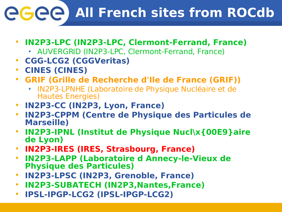## **All French sites from ROCdb**

- **IN2P3-LPC (IN2P3-LPC, Clermont-Ferrand, France)**
	- AUVERGRID (IN2P3-LPC, Clermont-Ferrand, France)
- **CGG-LCG2 (CGGVeritas)**
- **CINES (CINES)**
- **GRIF (Grille de Recherche d'Ile de France (GRIF))**
	- IN2P3-LPNHE (Laboratoire de Physique Nucléaire et de Hautes Energies)
- **IN2P3-CC (IN2P3, Lyon, France)**
- **IN2P3-CPPM (Centre de Physique des Particules de Marseille)**
- **IN2P3-IPNL (Institut de Physique Nucl\x{00E9}aire de Lyon)**
- **IN2P3-IRES (IRES, Strasbourg, France)**
- **IN2P3-LAPP (Laboratoire d Annecy-le-Vieux de Physique des Particules)**
- **IN2P3-LPSC (IN2P3, Grenoble, France)**
- **IN2P3-SUBATECH (IN2P3,Nantes,France)**
- **IPSL-IPGP-LCG2 (IPSL-IPGP-LCG2)**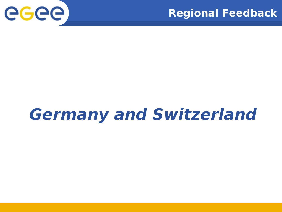



## **Germany and Switzerland**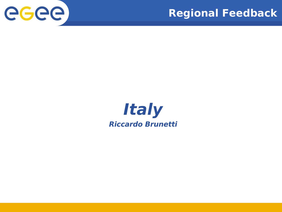



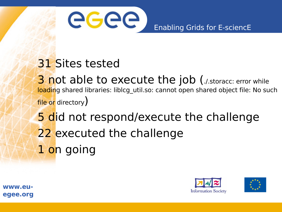

### 31 Sites tested

3 not able to execute the job (./.storacc: error while loading shared libraries: liblcg\_util.so: cannot open shared object file: No such file or directory)

5 did not respond/execute the challenge 22 executed the challenge 1 on going





**www.euegee.org**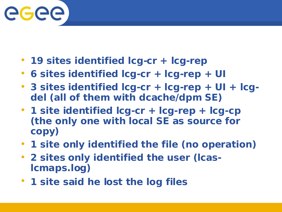

- **19 sites identified lcg-cr + lcg-rep**
- **6 sites identified lcg-cr + lcg-rep + UI**
- **3 sites identified lcg-cr + lcg-rep + UI + lcgdel (all of them with dcache/dpm SE)**
- **1 site identified lcg-cr + lcg-rep + lcg-cp (the only one with local SE as source for copy)**
- **1 site only identified the file (no operation)**
- **2 sites only identified the user (lcaslcmaps.log)**
- **1 site said he lost the log files**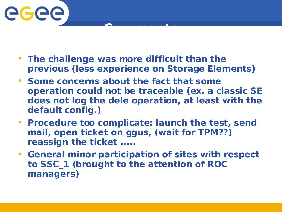

• **The challenge was more difficult than the previous (less experience on Storage Elements)**

**Comments** 

- **Some concerns about the fact that some operation could not be traceable (ex. a classic SE does not log the dele operation, at least with the default config.)**
- **Procedure too complicate: launch the test, send mail, open ticket on ggus, (wait for TPM??) reassign the ticket .....**
- **General minor participation of sites with respect to SSC\_1 (brought to the attention of ROC managers)**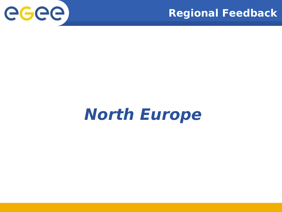

### **Regional Feedback**

## **North Europe**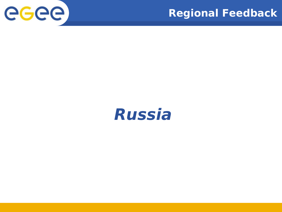

### **Regional Feedback**

## **Russia**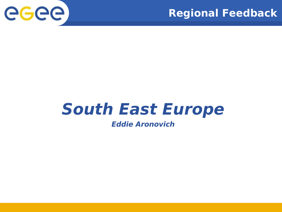



## **South East Europe**

#### **Eddie Aronovich**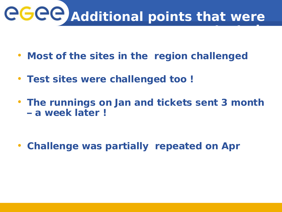

- **Most of the sites in the region challenged**
- **Test sites were challenged too !**
- **The runnings on Jan and tickets sent 3 month – a week later !**

• **Challenge was partially repeated on Apr**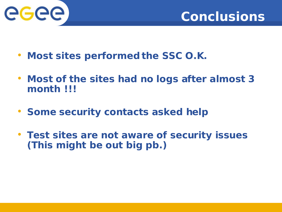



- **Most sites performed the SSC O.K.**
- **Most of the sites had no logs after almost 3 month !!!**
- **Some security contacts asked help**
- **Test sites are not aware of security issues (This might be out big pb.)**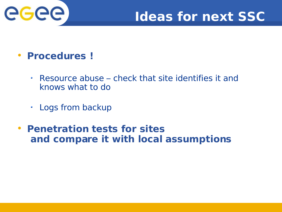

### **Ideas for next SSC**

### • **Procedures !**

- Resource abuse check that site identifies it and  $\bullet$ knows what to do
- Logs from backup  $\bullet$
- **Penetration tests for sites and compare it with local assumptions**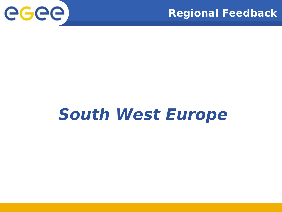



## **South West Europe**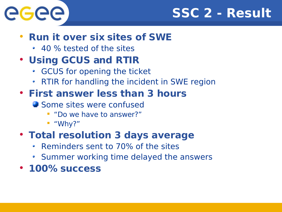

### **SSC 2 - Result**

### • **Run it over six sites of SWE**

40 % tested of the sites

### • **Using GCUS and RTIR**

- GCUS for opening the ticket
- RTIR for handling the incident in SWE region

### • **First answer less than 3 hours**

- Some sites were confused
	- "Do we have to answer?"
	- "Why?"

### • **Total resolution 3 days average**

- Reminders sent to 70% of the sites
- Summer working time delayed the answers
- **100% success**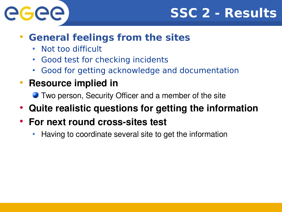



### • **General feelings from the sites**

- Not too difficult
- Good test for checking incidents
- Good for getting acknowledge and documentation
- **Resource implied in**
	- **Two person, Security Officer and a member of the site**
- **Quite realistic questions for getting the information**
- **For next round cross-sites test** 
	- Having to coordinate several site to get the information